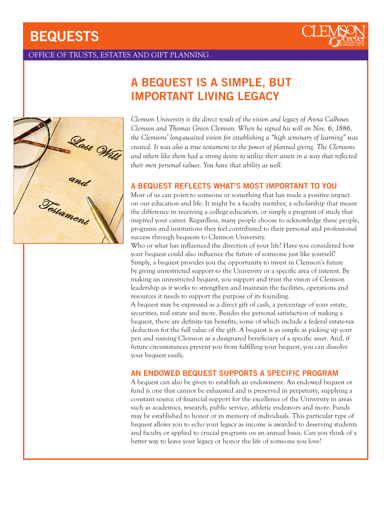# BEQUESTS



# OFFICE OF TRUSTS, ESTATES AND GIFT PLANNING



# A BEQUEST IS A SIMPLE, BUT IMPORTANT LIVING LEGACY

*Clemson University is the direct result of the vision and legacy of Anna Calhoun Clemson and Thomas Green Clemson. When he signed his will on Nov. 6, 1886, the Clemsons' long-awaited vision for establishing a "high seminary of learning" was created. It was also a true testament to the power of planned giving. The Clemsons and others like them had a strong desire to utilize their assets in a way that reflected their own personal values. You have that ability as well.*

# A BEQUEST REFLECTS WHAT'S MOST IMPORTANT TO YOU

Most of us can point to someone or something that has made a positive impact on our education and life. It might be a faculty member, a scholarship that meant the difference in receiving a college education, or simply a program of study that inspired your career. Regardless, many people choose to acknowledge these people, programs and institutions they feel contributed to their personal and professional success through bequests to Clemson University.

Who or what has influenced the direction of your life? Have you considered how your bequest could also influence the future of someone just like yourself? Simply, a bequest provides you the opportunity to invest in Clemson's future by giving unrestricted support to the University or a specific area of interest. By making an unrestricted bequest, you support and trust the vision of Clemson leadership as it works to strengthen and maintain the facilities, operations and resources it needs to support the purpose of its founding.

A bequest may be expressed as a direct gift of cash, a percentage of your estate, securities, real estate and more. Besides the personal satisfaction of making a bequest, there are definite tax benefits, some of which include a federal estate-tax deduction for the full value of the gift. A bequest is as simple as picking up your pen and naming Clemson as a designated beneficiary of a specific asset. And, if future circumstances prevent you from fulfilling your bequest, you can dissolve your bequest easily.

## AN ENDOWED BEQUEST SUPPORTS A SPECIFIC PROGRAM

A bequest can also be given to establish an endowment. An endowed bequest or fund is one that cannot be exhausted and is preserved in perpetuity, supplying a constant source of financial support for the excellence of the University in areas such as academics, research, public service, athletic endeavors and more. Funds may be established to honor or in memory of individuals. This particular type of bequest allows you to echo your legacy as income is awarded to deserving students and faculty or applied to crucial programs on an annual basis. Can you think of a better way to leave your legacy or honor the life of someone you love?